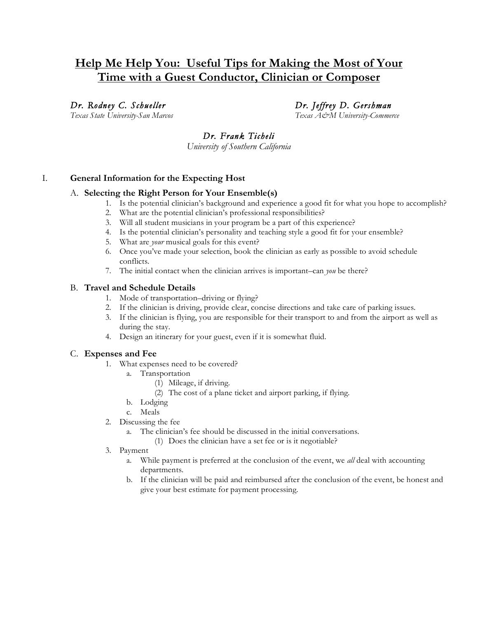# **Help Me Help You: Useful Tips for Making the Most of Your Time with a Guest Conductor, Clinician or Composer**

# *Dr. Rodney C. Schueller Dr. Jeffrey D. Gershman*

*Texas State University-San Marcos Texas A&M University-Commerce*

# *Dr. Frank Ticheli*

*University of Southern California*

# I. **General Information for the Expecting Host**

#### A. **Selecting the Right Person for Your Ensemble(s)**

- 1. Is the potential clinician's background and experience a good fit for what you hope to accomplish?
	- 2. What are the potential clinician's professional responsibilities?
	- 3. Will all student musicians in your program be a part of this experience?
	- 4. Is the potential clinician's personality and teaching style a good fit for your ensemble?
	- 5. What are *your* musical goals for this event?
	- 6. Once you've made your selection, book the clinician as early as possible to avoid schedule conflicts.
	- 7. The initial contact when the clinician arrives is important–can *you* be there?

# B. **Travel and Schedule Details**

- 1. Mode of transportation–driving or flying?
- 2. If the clinician is driving, provide clear, concise directions and take care of parking issues.
- 3. If the clinician is flying, you are responsible for their transport to and from the airport as well as during the stay.
- 4. Design an itinerary for your guest, even if it is somewhat fluid.

# C. **Expenses and Fee**

- 1. What expenses need to be covered?
	- a. Transportation
		- (1) Mileage, if driving.
		- (2) The cost of a plane ticket and airport parking, if flying.
	- b. Lodging
	- c. Meals
- 2. Discussing the fee
	- a. The clinician's fee should be discussed in the initial conversations.
		- (1) Does the clinician have a set fee or is it negotiable?
- 3. Payment
	- a. While payment is preferred at the conclusion of the event, we *all* deal with accounting departments.
	- b. If the clinician will be paid and reimbursed after the conclusion of the event, be honest and give your best estimate for payment processing.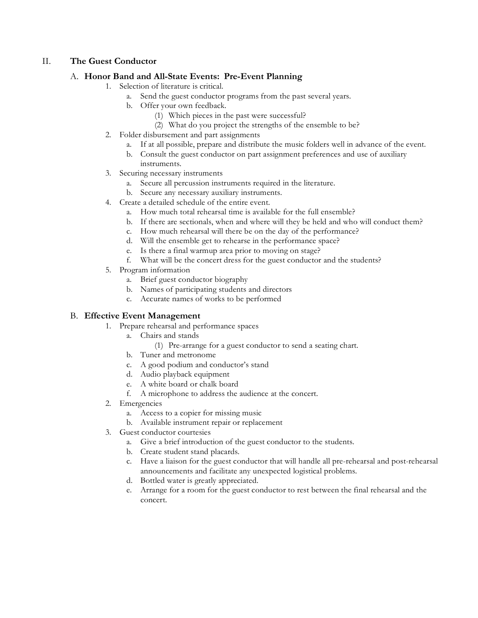# II. **The Guest Conductor**

# A. **Honor Band and All-State Events: Pre-Event Planning**

- 1. Selection of literature is critical.
	- a. Send the guest conductor programs from the past several years.
	- b. Offer your own feedback.
		- (1) Which pieces in the past were successful?
		- (2) What do you project the strengths of the ensemble to be?
- 2. Folder disbursement and part assignments
	- a. If at all possible, prepare and distribute the music folders well in advance of the event.
	- b. Consult the guest conductor on part assignment preferences and use of auxiliary instruments.
- 3. Securing necessary instruments
	- a. Secure all percussion instruments required in the literature.
	- b. Secure any necessary auxiliary instruments.
- 4. Create a detailed schedule of the entire event.
	- a. How much total rehearsal time is available for the full ensemble?
	- b. If there are sectionals, when and where will they be held and who will conduct them?
	- c. How much rehearsal will there be on the day of the performance?
	- d. Will the ensemble get to rehearse in the performance space?
	- e. Is there a final warmup area prior to moving on stage?
	- f. What will be the concert dress for the guest conductor and the students?
- 5. Program information
	- a. Brief guest conductor biography
	- b. Names of participating students and directors
	- c. Accurate names of works to be performed

# B. **Effective Event Management**

- 1. Prepare rehearsal and performance spaces
	- a. Chairs and stands
		- (1) Pre-arrange for a guest conductor to send a seating chart.
	- b. Tuner and metronome
	- c. A good podium and conductor's stand
	- d. Audio playback equipment
	- e. A white board or chalk board
	- f. A microphone to address the audience at the concert.
- 2. Emergencies
	- a. Access to a copier for missing music
	- b. Available instrument repair or replacement
- 3. Guest conductor courtesies
	- a. Give a brief introduction of the guest conductor to the students.
	- b. Create student stand placards.
	- c. Have a liaison for the guest conductor that will handle all pre-rehearsal and post-rehearsal announcements and facilitate any unexpected logistical problems.
	- d. Bottled water is greatly appreciated.
	- e. Arrange for a room for the guest conductor to rest between the final rehearsal and the concert.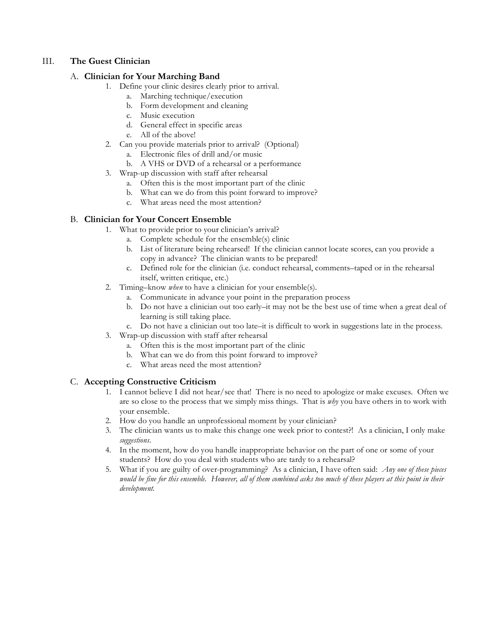## III. **The Guest Clinician**

#### A. **Clinician for Your Marching Band**

- 1. Define your clinic desires clearly prior to arrival.
	- a. Marching technique/execution
	- b. Form development and cleaning
	- c. Music execution
	- d. General effect in specific areas
	- e. All of the above!
- 2. Can you provide materials prior to arrival? (Optional)
	- a. Electronic files of drill and/or music
	- b. A VHS or DVD of a rehearsal or a performance
- 3. Wrap-up discussion with staff after rehearsal
	- a. Often this is the most important part of the clinic
	- b. What can we do from this point forward to improve?
	- c. What areas need the most attention?

# B. **Clinician for Your Concert Ensemble**

- 1. What to provide prior to your clinician's arrival?
	- a. Complete schedule for the ensemble(s) clinic
	- b. List of literature being rehearsed! If the clinician cannot locate scores, can you provide a copy in advance? The clinician wants to be prepared!
	- c. Defined role for the clinician (i.e. conduct rehearsal, comments–taped or in the rehearsal itself, written critique, etc.)
- 2. Timing–know *when* to have a clinician for your ensemble(s).
	- a. Communicate in advance your point in the preparation process
	- b. Do not have a clinician out too early–it may not be the best use of time when a great deal of learning is still taking place.
	- c. Do not have a clinician out too late–it is difficult to work in suggestions late in the process.
- 3. Wrap-up discussion with staff after rehearsal
	- a. Often this is the most important part of the clinic
	- b. What can we do from this point forward to improve?
	- c. What areas need the most attention?

# C. **Accepting Constructive Criticism**

- 1. I cannot believe I did not hear/see that! There is no need to apologize or make excuses. Often we are so close to the process that we simply miss things. That is *why* you have others in to work with your ensemble.
- 2. How do you handle an unprofessional moment by your clinician?
- 3. The clinician wants us to make this change one week prior to contest?! As a clinician, I only make *suggestions*.
- 4. In the moment, how do you handle inappropriate behavior on the part of one or some of your students? How do you deal with students who are tardy to a rehearsal?
- 5. What if you are guilty of over-programming? As a clinician, I have often said: *Any one of these pieces* would be fine for this ensemble. However, all of them combined asks too much of these players at this point in their *development.*